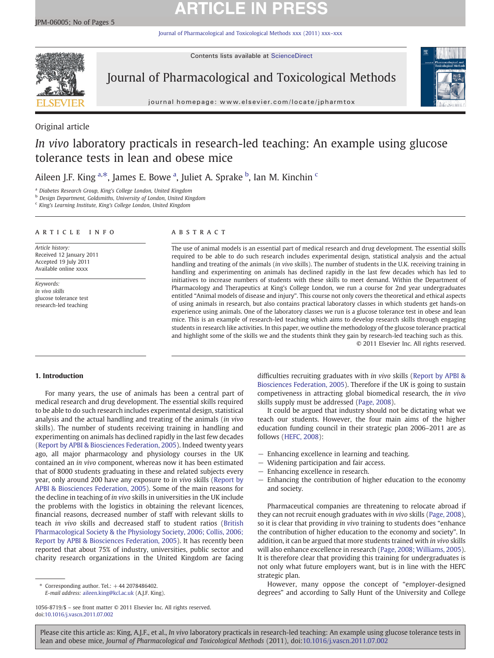# **ARTICLE IN PRE**

[Journal of Pharmacological and Toxicological Methods xxx \(2011\) xxx](http://dx.doi.org/10.1016/j.vascn.2011.07.002)–xxx



Contents lists available at ScienceDirect

## Journal of Pharmacological and Toxicological Methods



journal homepage: www.elsevier.com/locate/jpharmtox

### Original article

## In vivo laboratory practicals in research-led teaching: An example using glucose tolerance tests in lean and obese mice

Aileen J.F. King <sup>a,\*</sup>, James E. Bowe <sup>a</sup>, Juliet A. Sprake <sup>b</sup>, Ian M. Kinchin <sup>c</sup>

<sup>a</sup> Diabetes Research Group, King's College London, United Kingdom

**b** Design Department, Goldsmiths, University of London, United Kingdom

<sup>c</sup> King's Learning Institute, King's College London, United Kingdom

#### article info abstract

Article history: Received 12 January 2011 Accepted 19 July 2011 Available online xxxx

Keywords: in vivo skills glucose tolerance test research-led teaching

The use of animal models is an essential part of medical research and drug development. The essential skills required to be able to do such research includes experimental design, statistical analysis and the actual handling and treating of the animals (in vivo skills). The number of students in the U.K. receiving training in handling and experimenting on animals has declined rapidly in the last few decades which has led to initiatives to increase numbers of students with these skills to meet demand. Within the Department of Pharmacology and Therapeutics at King's College London, we run a course for 2nd year undergraduates entitled "Animal models of disease and injury". This course not only covers the theoretical and ethical aspects of using animals in research, but also contains practical laboratory classes in which students get hands-on experience using animals. One of the laboratory classes we run is a glucose tolerance test in obese and lean mice. This is an example of research-led teaching which aims to develop research skills through engaging students in research like activities. In this paper, we outline the methodology of the glucose tolerance practical and highlight some of the skills we and the students think they gain by research-led teaching such as this. © 2011 Elsevier Inc. All rights reserved.

### 1. Introduction

For many years, the use of animals has been a central part of medical research and drug development. The essential skills required to be able to do such research includes experimental design, statistical analysis and the actual handling and treating of the animals (in vivo skills). The number of students receiving training in handling and experimenting on animals has declined rapidly in the last few decades [\(Report by APBI & Biosciences Federation, 2005\)](#page-4-0). Indeed twenty years ago, all major pharmacology and physiology courses in the UK contained an in vivo component, whereas now it has been estimated that of 8000 students graduating in these and related subjects every year, only around 200 have any exposure to in vivo skills ([Report by](#page-4-0) [APBI & Biosciences Federation, 2005](#page-4-0)). Some of the main reasons for the decline in teaching of in vivo skills in universities in the UK include the problems with the logistics in obtaining the relevant licences, financial reasons, decreased number of staff with relevant skills to teach in vivo skills and decreased staff to student ratios ([British](#page-4-0) [Pharmacological Society & the Physiology Society, 2006; Collis, 2006;](#page-4-0) [Report by APBI & Biosciences Federation, 2005](#page-4-0)). It has recently been reported that about 75% of industry, universities, public sector and charity research organizations in the United Kingdom are facing

difficulties recruiting graduates with in vivo skills [\(Report by APBI &](#page-4-0) [Biosciences Federation, 2005](#page-4-0)). Therefore if the UK is going to sustain competiveness in attracting global biomedical research, the in vivo skills supply must be addressed [\(Page, 2008\)](#page-4-0).

It could be argued that industry should not be dictating what we teach our students. However, the four main aims of the higher education funding council in their strategic plan 2006–2011 are as follows ([HEFC, 2008](#page-4-0)):

- − Enhancing excellence in learning and teaching.
- − Widening participation and fair access.
- − Enhancing excellence in research.
- Enhancing the contribution of higher education to the economy and society.

Pharmaceutical companies are threatening to relocate abroad if they can not recruit enough graduates with in vivo skills [\(Page, 2008](#page-4-0)), so it is clear that providing in vivo training to students does "enhance the contribution of higher education to the economy and society". In addition, it can be argued that more students trained with in vivo skills will also enhance excellence in research ([Page, 2008; Williams, 2005](#page-4-0)). It is therefore clear that providing this training for undergraduates is not only what future employers want, but is in line with the HEFC strategic plan.

However, many oppose the concept of "employer-designed degrees" and according to Sally Hunt of the University and College

Corresponding author. Tel.:  $+44$  2078486402. E-mail address: [aileen.king@kcl.ac.uk](mailto:aileen.king@kcl.ac.uk) (A.J.F. King).

<sup>1056-8719/\$</sup> – see front matter © 2011 Elsevier Inc. All rights reserved. doi:[10.1016/j.vascn.2011.07.002](http://dx.doi.org/10.1016/j.vascn.2011.07.002)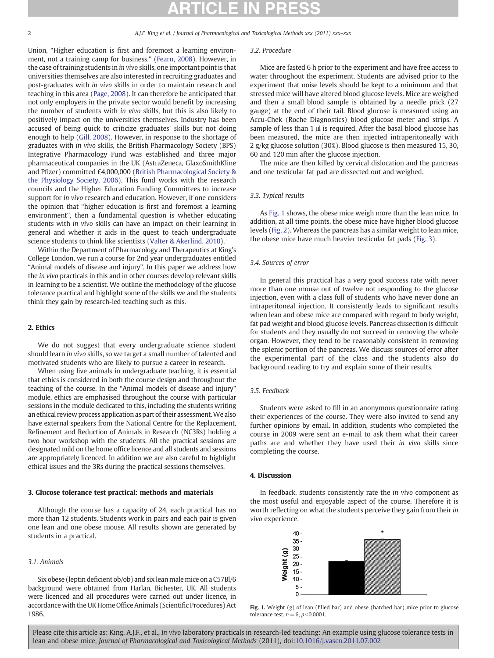2 A.J.F. King et al. / Journal of Pharmacological and Toxicological Methods xxx (2011) xxx–xxx

Union, "Higher education is first and foremost a learning environment, not a training camp for business." [\(Fearn, 2008](#page-4-0)). However, in the case of training students in in vivo skills, one important point is that universities themselves are also interested in recruiting graduates and post-graduates with in vivo skills in order to maintain research and teaching in this area ([Page, 2008\)](#page-4-0). It can therefore be anticipated that not only employers in the private sector would benefit by increasing the number of students with in vivo skills, but this is also likely to positively impact on the universities themselves. Industry has been accused of being quick to criticize graduates' skills but not doing enough to help [\(Gill, 2008](#page-4-0)). However, in response to the shortage of graduates with in vivo skills, the British Pharmacology Society (BPS) Integrative Pharmacology Fund was established and three major pharmaceutical companies in the UK (AstraZeneca, GlaxoSmithKline and Pfizer) committed £4,000,000 [\(British Pharmacological Society &](#page-4-0) [the Physiology Society, 2006\)](#page-4-0). This fund works with the research councils and the Higher Education Funding Committees to increase support for in vivo research and education. However, if one considers the opinion that "higher education is first and foremost a learning environment", then a fundamental question is whether educating students with in vivo skills can have an impact on their learning in general and whether it aids in the quest to teach undergraduate science students to think like scientists ([Valter & Akerlind, 2010\)](#page-4-0).

Within the Department of Pharmacology and Therapeutics at King's College London, we run a course for 2nd year undergraduates entitled "Animal models of disease and injury". In this paper we address how the in vivo practicals in this and in other courses develop relevant skills in learning to be a scientist. We outline the methodology of the glucose tolerance practical and highlight some of the skills we and the students think they gain by research-led teaching such as this.

### 2. Ethics

We do not suggest that every undergraduate science student should learn in vivo skills, so we target a small number of talented and motivated students who are likely to pursue a career in research.

When using live animals in undergraduate teaching, it is essential that ethics is considered in both the course design and throughout the teaching of the course. In the "Animal models of disease and injury" module, ethics are emphasised throughout the course with particular sessions in the module dedicated to this, including the students writing an ethical review process application as part of their assessment.We also have external speakers from the National Centre for the Replacement, Refinement and Reduction of Animals in Research (NC3Rs) holding a two hour workshop with the students. All the practical sessions are designated mild on the home office licence and all students and sessions are appropriately licenced. In addition we are also careful to highlight ethical issues and the 3Rs during the practical sessions themselves.

### 3. Glucose tolerance test practical: methods and materials

Although the course has a capacity of 24, each practical has no more than 12 students. Students work in pairs and each pair is given one lean and one obese mouse. All results shown are generated by students in a practical.

### 3.1. Animals

Six obese (leptin deficient ob/ob) and six leanmalemice on a C57Bl/6 background were obtained from Harlan, Bichester, UK. All students were licenced and all procedures were carried out under licence, in accordance with the UK Home Office Animals (Scientific Procedures) Act 1986.

#### 3.2. Procedure

Mice are fasted 6 h prior to the experiment and have free access to water throughout the experiment. Students are advised prior to the experiment that noise levels should be kept to a minimum and that stressed mice will have altered blood glucose levels. Mice are weighed and then a small blood sample is obtained by a needle prick (27 gauge) at the end of their tail. Blood glucose is measured using an Accu-Chek (Roche Diagnostics) blood glucose meter and strips. A sample of less than 1 μl is required. After the basal blood glucose has been measured, the mice are then injected intraperitoneally with 2 g/kg glucose solution (30%). Blood glucose is then measured 15, 30, 60 and 120 min after the glucose injection.

The mice are then killed by cervical dislocation and the pancreas and one testicular fat pad are dissected out and weighed.

#### 3.3. Typical results

As Fig. 1 shows, the obese mice weigh more than the lean mice. In addition, at all time points, the obese mice have higher blood glucose levels ([Fig. 2](#page-2-0)). Whereas the pancreas has a similar weight to lean mice, the obese mice have much heavier testicular fat pads ([Fig. 3](#page-2-0)).

#### 3.4. Sources of error

In general this practical has a very good success rate with never more than one mouse out of twelve not responding to the glucose injection, even with a class full of students who have never done an intraperitoneal injection. It consistently leads to significant results when lean and obese mice are compared with regard to body weight, fat pad weight and blood glucose levels. Pancreas dissection is difficult for students and they usually do not succeed in removing the whole organ. However, they tend to be reasonably consistent in removing the splenic portion of the pancreas. We discuss sources of error after the experimental part of the class and the students also do background reading to try and explain some of their results.

#### 3.5. Feedback

Students were asked to fill in an anonymous questionnaire rating their experiences of the course. They were also invited to send any further opinions by email. In addition, students who completed the course in 2009 were sent an e-mail to ask them what their career paths are and whether they have used their in vivo skills since completing the course.

#### 4. Discussion

In feedback, students consistently rate the in vivo component as the most useful and enjoyable aspect of the course. Therefore it is worth reflecting on what the students perceive they gain from their in vivo experience.



Fig. 1. Weight (g) of lean (filled bar) and obese (hatched bar) mice prior to glucose tolerance test.  $n = 6$ ,  $p < 0.0001$ .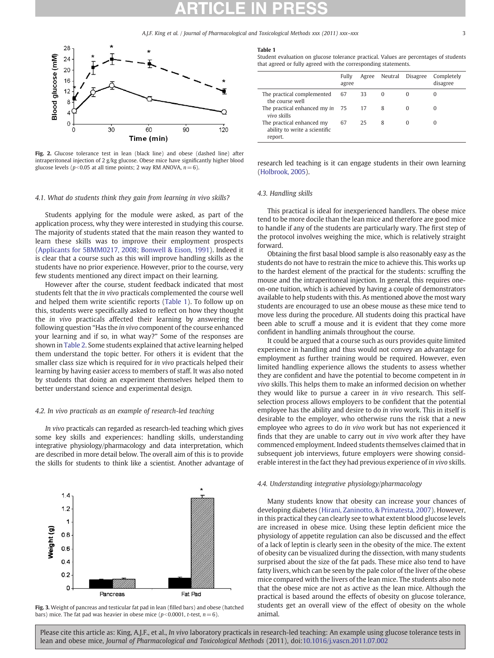A.J.F. King et al. / Journal of Pharmacological and Toxicological Methods xxx (2011) xxx-xxx

<span id="page-2-0"></span>

Fig. 2. Glucose tolerance test in lean (black line) and obese (dashed line) after intraperitoneal injection of 2 g/kg glucose. Obese mice have significantly higher blood glucose levels ( $p<0.05$  at all time points; 2 way RM ANOVA,  $n=6$ ).

#### 4.1. What do students think they gain from learning in vivo skills?

Students applying for the module were asked, as part of the application process, why they were interested in studying this course. The majority of students stated that the main reason they wanted to learn these skills was to improve their employment prospects [\(Applicants for 5BMM0217, 2008; Bonwell & Eison, 1991\)](#page-4-0). Indeed it is clear that a course such as this will improve handling skills as the students have no prior experience. However, prior to the course, very few students mentioned any direct impact on their learning.

However after the course, student feedback indicated that most students felt that the in vivo practicals complemented the course well and helped them write scientific reports (Table 1). To follow up on this, students were specifically asked to reflect on how they thought the in vivo practicals affected their learning by answering the following question "Has the in vivo component of the course enhanced your learning and if so, in what way?" Some of the responses are shown in [Table 2.](#page-3-0) Some students explained that active learning helped them understand the topic better. For others it is evident that the smaller class size which is required for in vivo practicals helped their learning by having easier access to members of staff. It was also noted by students that doing an experiment themselves helped them to better understand science and experimental design.

#### 4.2. In vivo practicals as an example of research-led teaching

In vivo practicals can regarded as research-led teaching which gives some key skills and experiences: handling skills, understanding integrative physiology/pharmacology and data interpretation, which are described in more detail below. The overall aim of this is to provide the skills for students to think like a scientist. Another advantage of



Fig. 3. Weight of pancreas and testicular fat pad in lean (filled bars) and obese (hatched bars) mice. The fat pad was heavier in obese mice ( $p<0.0001$ , t-test,  $n=6$ ).

#### Table 1

Student evaluation on glucose tolerance practical. Values are percentages of students that agreed or fully agreed with the corresponding statements.

|                                                                       | Fully<br>agree |     |   | Agree Neutral Disagree | Completely<br>disagree |
|-----------------------------------------------------------------------|----------------|-----|---|------------------------|------------------------|
| The practical complemented<br>the course well                         | 67             | 33  | 0 |                        |                        |
| The practical enhanced my in 75<br>vivo skills                        |                | -17 | 8 | 0                      |                        |
| The practical enhanced my<br>ability to write a scientific<br>report. | 67             | 25  | 8 |                        |                        |

research led teaching is it can engage students in their own learning [\(Holbrook, 2005](#page-4-0)).

#### 4.3. Handling skills

This practical is ideal for inexperienced handlers. The obese mice tend to be more docile than the lean mice and therefore are good mice to handle if any of the students are particularly wary. The first step of the protocol involves weighing the mice, which is relatively straight forward.

Obtaining the first basal blood sample is also reasonably easy as the students do not have to restrain the mice to achieve this. This works up to the hardest element of the practical for the students: scruffing the mouse and the intraperitoneal injection. In general, this requires oneon-one tuition, which is achieved by having a couple of demonstrators available to help students with this. As mentioned above the most wary students are encouraged to use an obese mouse as these mice tend to move less during the procedure. All students doing this practical have been able to scruff a mouse and it is evident that they come more confident in handling animals throughout the course.

It could be argued that a course such as ours provides quite limited experience in handling and thus would not convey an advantage for employment as further training would be required. However, even limited handling experience allows the students to assess whether they are confident and have the potential to become competent in in vivo skills. This helps them to make an informed decision on whether they would like to pursue a career in in vivo research. This selfselection process allows employers to be confident that the potential employee has the ability and desire to do in vivo work. This in itself is desirable to the employer, who otherwise runs the risk that a new employee who agrees to do in vivo work but has not experienced it finds that they are unable to carry out in vivo work after they have commenced employment. Indeed students themselves claimed that in subsequent job interviews, future employers were showing considerable interest in the fact they had previous experience of in vivo skills.

#### 4.4. Understanding integrative physiology/pharmacology

Many students know that obesity can increase your chances of developing diabetes ([Hirani, Zaninotto, & Primatesta, 2007\)](#page-4-0). However, in this practical they can clearly see to what extent blood glucose levels are increased in obese mice. Using these leptin deficient mice the physiology of appetite regulation can also be discussed and the effect of a lack of leptin is clearly seen in the obesity of the mice. The extent of obesity can be visualized during the dissection, with many students surprised about the size of the fat pads. These mice also tend to have fatty livers, which can be seen by the pale color of the liver of the obese mice compared with the livers of the lean mice. The students also note that the obese mice are not as active as the lean mice. Although the practical is based around the effects of obesity on glucose tolerance, students get an overall view of the effect of obesity on the whole animal.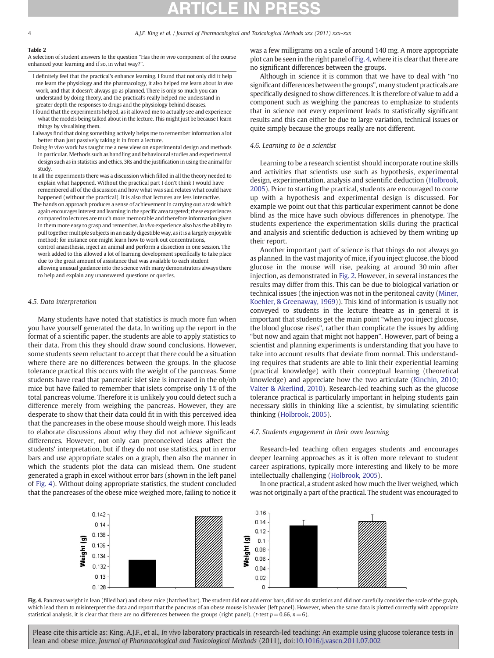#### <span id="page-3-0"></span>4 A.J.F. King et al. / Journal of Pharmacological and Toxicological Methods xxx (2011) xxx–xxx

### Table 2

A selection of student answers to the question "Has the in vivo component of the course enhanced your learning and if so, in what way?".

- I definitely feel that the practical's enhance learning. I found that not only did it help me learn the physiology and the pharmacology, it also helped me learn about in vivo work, and that it doesn't always go as planned. There is only so much you can understand by doing theory, and the practical's really helped me understand in greater depth the responses to drugs and the physiology behind diseases.
- I found that the experiments helped, as it allowed me to actually see and experience what the models being talked about in the lecture. This might just be because I learn things by visualising them.
- I always find that doing something actively helps me to remember information a lot better than just passively taking it in from a lecture.
- Doing in vivo work has taught me a new view on experimental design and methods in particular. Methods such as handling and behavioural studies and experimental design such as in statistics and ethics, 3Rs and the justification in using the animal for study.
- In all the experiments there was a discussion which filled in all the theory needed to explain what happened. Without the practical part I don't think I would have remembered all of the discussion and how what was said relates what could have happened (without the practical). It is also that lectures are less interactive.
- The hands on approach produces a sense of achievement in carrying out a task which again encourages interest and learningin the specific area targeted; these experiences compared to lectures are much more memorable and therefore information given in them more easy to grasp and remember. In vivo experience also has the ability to pull together multiple subjects in an easily digestible way, as it is a largely enjoyable method; for instance one might learn how to work out concentrations,

control anaesthesia, inject an animal and perform a dissection in one session. The work added to this allowed a lot of learning development specifically to take place due to the great amount of assistance that was available to each student allowing unusual guidance into the science with many demonstrators always there

to help and explain any unanswered questions or queries.

#### 4.5. Data interpretation

Many students have noted that statistics is much more fun when you have yourself generated the data. In writing up the report in the format of a scientific paper, the students are able to apply statistics to their data. From this they should draw sound conclusions. However, some students seem reluctant to accept that there could be a situation where there are no differences between the groups. In the glucose tolerance practical this occurs with the weight of the pancreas. Some students have read that pancreatic islet size is increased in the ob/ob mice but have failed to remember that islets comprise only 1% of the total pancreas volume. Therefore it is unlikely you could detect such a difference merely from weighing the pancreas. However, they are desperate to show that their data could fit in with this perceived idea that the pancreases in the obese mouse should weigh more. This leads to elaborate discussions about why they did not achieve significant differences. However, not only can preconceived ideas affect the students' interpretation, but if they do not use statistics, put in error bars and use appropriate scales on a graph, then also the manner in which the students plot the data can mislead them. One student generated a graph in excel without error bars (shown in the left panel of Fig. 4). Without doing appropriate statistics, the student concluded that the pancreases of the obese mice weighed more, failing to notice it

was a few milligrams on a scale of around 140 mg. A more appropriate plot can be seen in the right panel of Fig. 4, where it is clear that there are no significant differences between the groups.

Although in science it is common that we have to deal with "no significant differences between the groups", many student practicals are specifically designed to show differences. It is therefore of value to add a component such as weighing the pancreas to emphasize to students that in science not every experiment leads to statistically significant results and this can either be due to large variation, technical issues or quite simply because the groups really are not different.

#### 4.6. Learning to be a scientist

Learning to be a research scientist should incorporate routine skills and activities that scientists use such as hypothesis, experimental design, experimentation, analysis and scientific deduction [\(Holbrook,](#page-4-0) [2005\)](#page-4-0). Prior to starting the practical, students are encouraged to come up with a hypothesis and experimental design is discussed. For example we point out that this particular experiment cannot be done blind as the mice have such obvious differences in phenotype. The students experience the experimentation skills during the practical and analysis and scientific deduction is achieved by them writing up their report.

Another important part of science is that things do not always go as planned. In the vast majority of mice, if you inject glucose, the blood glucose in the mouse will rise, peaking at around 30 min after injection, as demonstrated in [Fig. 2.](#page-2-0) However, in several instances the results may differ from this. This can be due to biological variation or technical issues (the injection was not in the peritoneal cavity [\(Miner,](#page-4-0) [Koehler, & Greenaway, 1969](#page-4-0))). This kind of information is usually not conveyed to students in the lecture theatre as in general it is important that students get the main point "when you inject glucose, the blood glucose rises", rather than complicate the issues by adding "but now and again that might not happen". However, part of being a scientist and planning experiments is understanding that you have to take into account results that deviate from normal. This understanding requires that students are able to link their experiential learning (practical knowledge) with their conceptual learning (theoretical knowledge) and appreciate how the two articulate ([Kinchin, 2010;](#page-4-0) [Valter & Akerlind, 2010\)](#page-4-0). Research-led teaching such as the glucose tolerance practical is particularly important in helping students gain necessary skills in thinking like a scientist, by simulating scientific thinking [\(Holbrook, 2005](#page-4-0)).

#### 4.7. Students engagement in their own learning

Research-led teaching often engages students and encourages deeper learning approaches as it is often more relevant to student career aspirations, typically more interesting and likely to be more intellectually challenging [\(Holbrook, 2005](#page-4-0)).

In one practical, a student asked how much the liver weighed, which was not originally a part of the practical. The student was encouraged to



Fig. 4. Pancreas weight in lean (filled bar) and obese mice (hatched bar). The student did not add error bars, did not do statistics and did not carefully consider the scale of the graph, which lead them to misinterpret the data and report that the pancreas of an obese mouse is heavier (left panel). However, when the same data is plotted correctly with appropriate statistical analysis, it is clear that there are no differences between the groups (right panel). (t-test  $p= 0.66$ ,  $n= 6$ ).